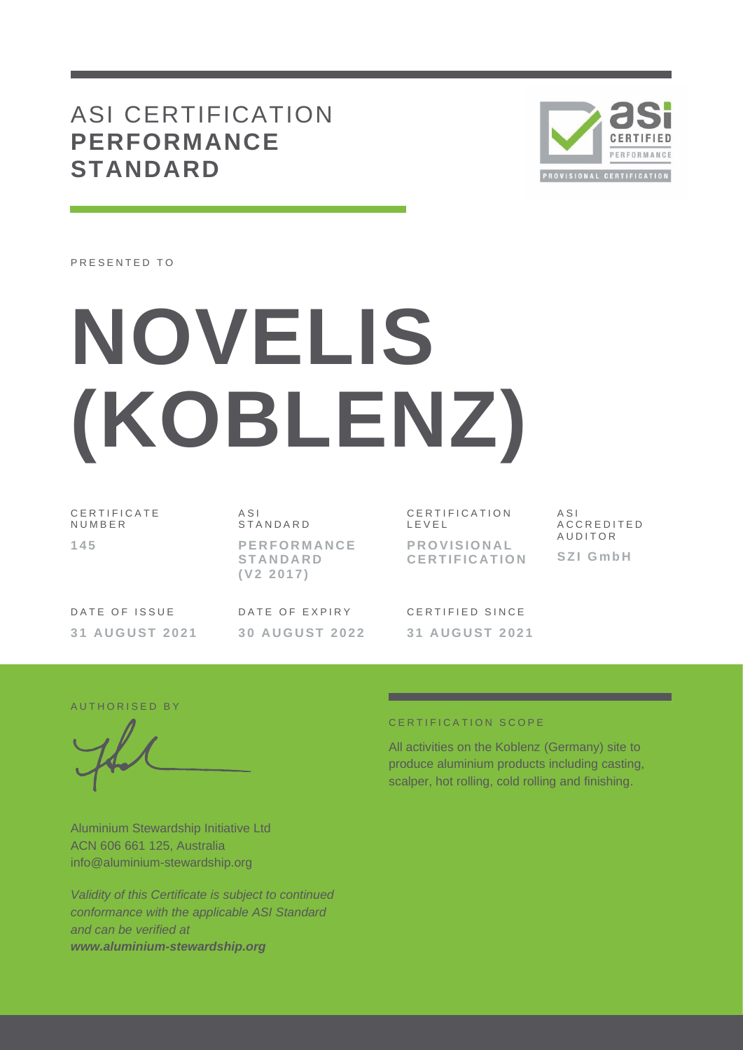## ASI CERTIFICATION **PERFORMANCE STANDARD**



PRESENTED TO

# **NOVELIS (KOBLENZ)**

C E R T I F I C A T E N U M B E R **1 4 5**

A S I **STANDARD P E R F O R M A N C E S T A N D A R D ( V 2 2 0 1 7 )**

C E R T I F I C A T I O N L E V E L **P R O V I S I O N A L C E R T I F I C A T I O N**

A S I A C C R E D I T E D **AUDITOR S Z I G m b H**

DATE OF ISSUE **3 1 A U G U S T 2 0 2 1** DATE OF EXPIRY **3 0 A U G U S T 2 0 2 2**

CERTIFIED SINCE **3 1 A U G U S T 2 0 2 1**

AUTHORISED BY

Aluminium Stewardship Initiative Ltd ACN 606 661 125, Australia info@aluminium-stewardship.org

*Validity of this Certificate is subject to continued conformance with the applicable ASI Standard and can be verified at www.aluminium-stewardship.org*

#### CERTIFICATION SCOPE

All activities on the Koblenz (Germany) site to produce aluminium products including casting, scalper, hot rolling, cold rolling and finishing.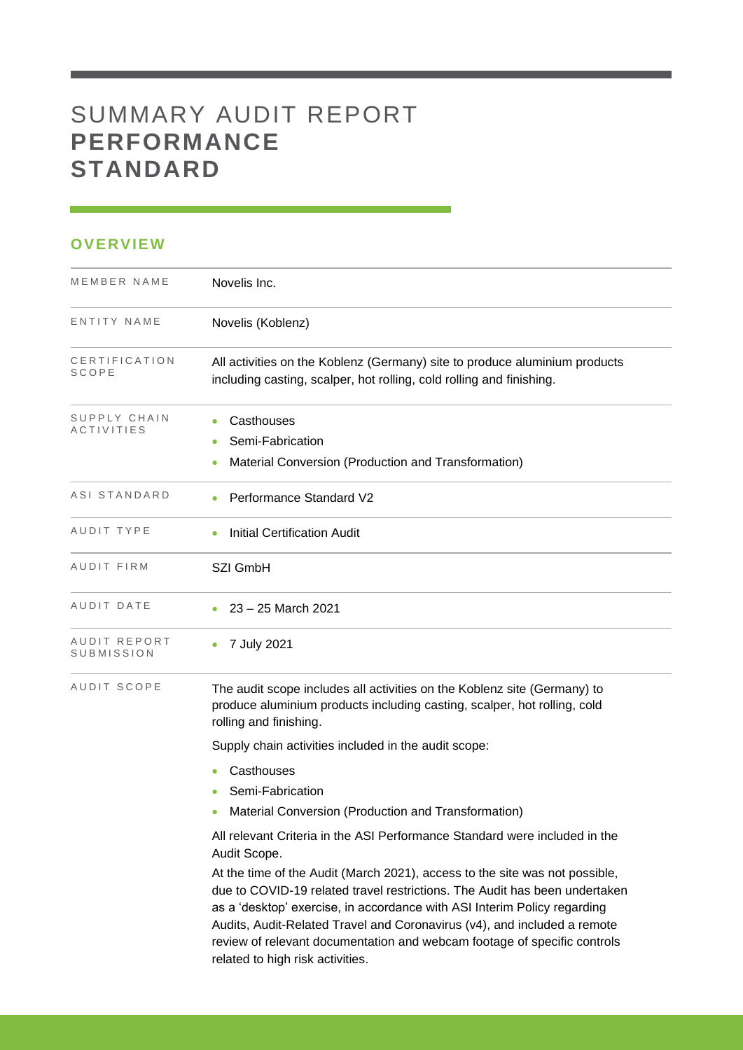# SUMMARY AUDIT REPORT **PERFORMANCE STANDARD**

### **OVERVIEW**

| MEMBER NAME                | Novelis Inc.                                                                                                                                                                                                                                                                                                                                                                                                                      |
|----------------------------|-----------------------------------------------------------------------------------------------------------------------------------------------------------------------------------------------------------------------------------------------------------------------------------------------------------------------------------------------------------------------------------------------------------------------------------|
| ENTITY NAME                | Novelis (Koblenz)                                                                                                                                                                                                                                                                                                                                                                                                                 |
| CERTIFICATION<br>SCOPE     | All activities on the Koblenz (Germany) site to produce aluminium products<br>including casting, scalper, hot rolling, cold rolling and finishing.                                                                                                                                                                                                                                                                                |
| SUPPLY CHAIN<br>ACTIVITIES | Casthouses<br>Semi-Fabrication<br>Material Conversion (Production and Transformation)                                                                                                                                                                                                                                                                                                                                             |
| ASI STANDARD               | Performance Standard V2                                                                                                                                                                                                                                                                                                                                                                                                           |
| AUDIT TYPE                 | <b>Initial Certification Audit</b>                                                                                                                                                                                                                                                                                                                                                                                                |
| AUDIT FIRM                 | SZI GmbH                                                                                                                                                                                                                                                                                                                                                                                                                          |
| AUDIT DATE                 | 23 - 25 March 2021                                                                                                                                                                                                                                                                                                                                                                                                                |
| AUDIT REPORT<br>SUBMISSION | 7 July 2021                                                                                                                                                                                                                                                                                                                                                                                                                       |
| AUDIT SCOPE                | The audit scope includes all activities on the Koblenz site (Germany) to<br>produce aluminium products including casting, scalper, hot rolling, cold<br>rolling and finishing.                                                                                                                                                                                                                                                    |
|                            | Supply chain activities included in the audit scope:                                                                                                                                                                                                                                                                                                                                                                              |
|                            | Casthouses                                                                                                                                                                                                                                                                                                                                                                                                                        |
|                            | Semi-Fabrication                                                                                                                                                                                                                                                                                                                                                                                                                  |
|                            | Material Conversion (Production and Transformation)                                                                                                                                                                                                                                                                                                                                                                               |
|                            | All relevant Criteria in the ASI Performance Standard were included in the<br>Audit Scope.                                                                                                                                                                                                                                                                                                                                        |
|                            | At the time of the Audit (March 2021), access to the site was not possible,<br>due to COVID-19 related travel restrictions. The Audit has been undertaken<br>as a 'desktop' exercise, in accordance with ASI Interim Policy regarding<br>Audits, Audit-Related Travel and Coronavirus (v4), and included a remote<br>review of relevant documentation and webcam footage of specific controls<br>related to high risk activities. |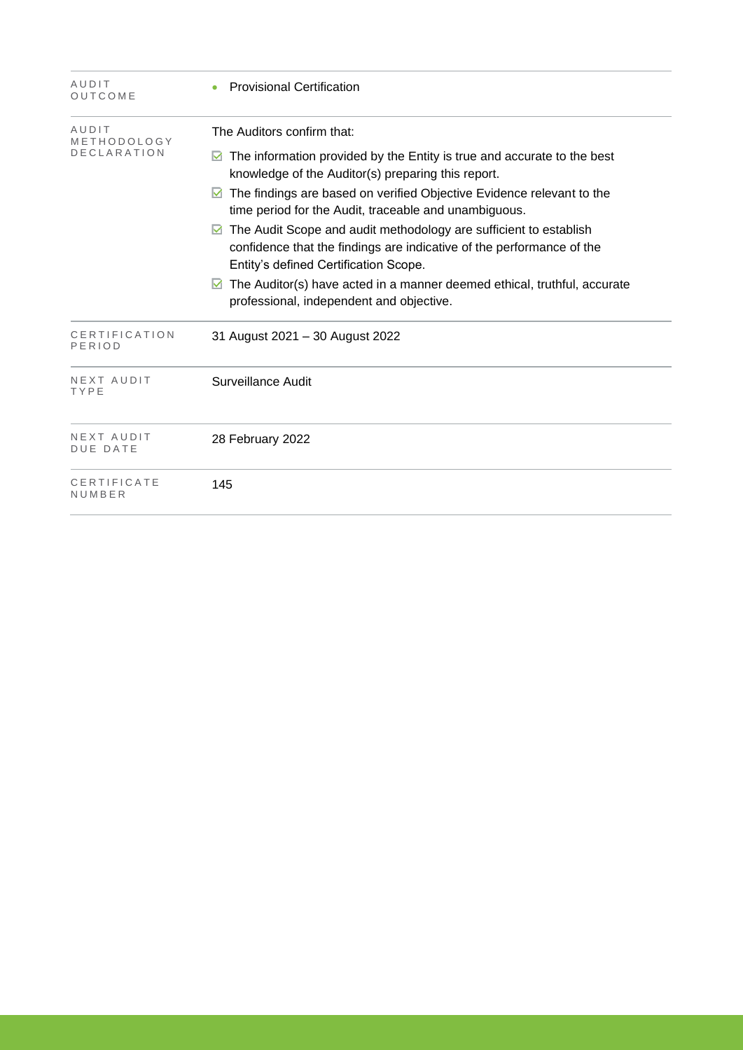| AUDIT<br>OUTCOME                           | <b>Provisional Certification</b>                                                                                                                                                                                                                                                                                                                                                                                                                                                                                                                                                                                                               |
|--------------------------------------------|------------------------------------------------------------------------------------------------------------------------------------------------------------------------------------------------------------------------------------------------------------------------------------------------------------------------------------------------------------------------------------------------------------------------------------------------------------------------------------------------------------------------------------------------------------------------------------------------------------------------------------------------|
| AUDIT<br>METHODOLOGY<br><b>DECLARATION</b> | The Auditors confirm that:<br>The information provided by the Entity is true and accurate to the best<br>M<br>knowledge of the Auditor(s) preparing this report.<br>The findings are based on verified Objective Evidence relevant to the<br>M<br>time period for the Audit, traceable and unambiguous.<br>The Audit Scope and audit methodology are sufficient to establish<br>$\blacktriangledown$<br>confidence that the findings are indicative of the performance of the<br>Entity's defined Certification Scope.<br>The Auditor(s) have acted in a manner deemed ethical, truthful, accurate<br>professional, independent and objective. |
| CERTIFICATION<br>PERIOD                    | 31 August 2021 - 30 August 2022                                                                                                                                                                                                                                                                                                                                                                                                                                                                                                                                                                                                                |
| NEXT AUDIT<br>TYPE                         | Surveillance Audit                                                                                                                                                                                                                                                                                                                                                                                                                                                                                                                                                                                                                             |
| NEXT AUDIT<br><b>DUE DATE</b>              | 28 February 2022                                                                                                                                                                                                                                                                                                                                                                                                                                                                                                                                                                                                                               |
| CERTIFICATE<br>NUMBER                      | 145                                                                                                                                                                                                                                                                                                                                                                                                                                                                                                                                                                                                                                            |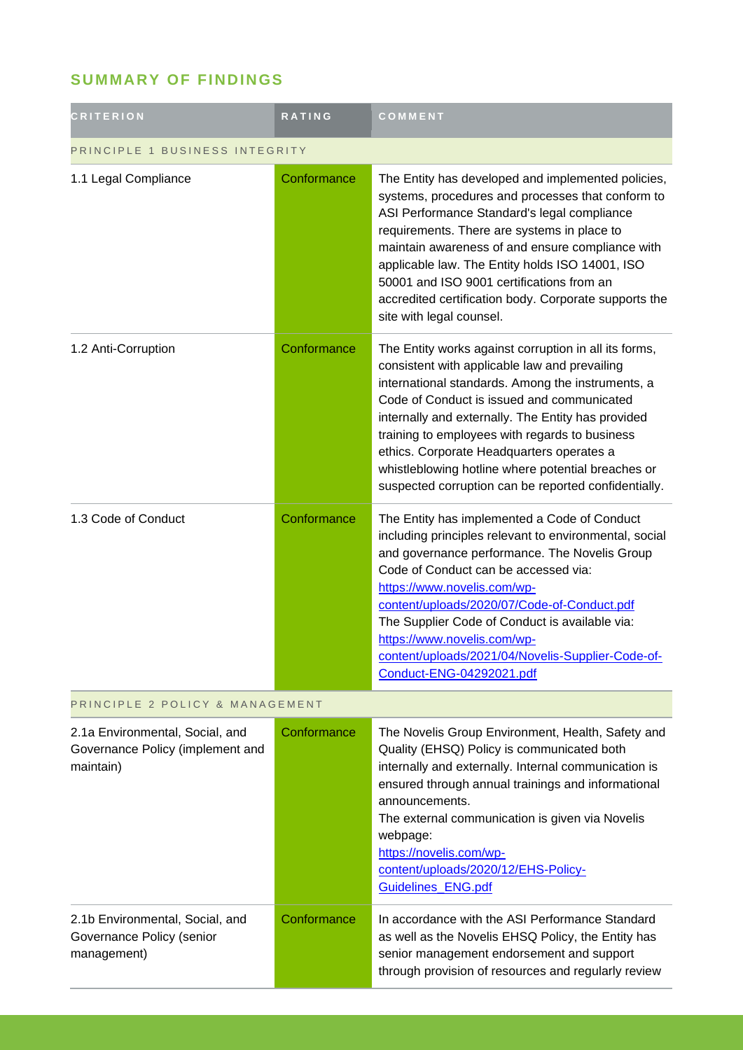## **SUMMARY OF FINDINGS**

| <b>CRITERION</b>                                                                 | <b>RATING</b> | COMMENT                                                                                                                                                                                                                                                                                                                                                                                                                                                                      |  |
|----------------------------------------------------------------------------------|---------------|------------------------------------------------------------------------------------------------------------------------------------------------------------------------------------------------------------------------------------------------------------------------------------------------------------------------------------------------------------------------------------------------------------------------------------------------------------------------------|--|
| PRINCIPLE 1 BUSINESS INTEGRITY                                                   |               |                                                                                                                                                                                                                                                                                                                                                                                                                                                                              |  |
| 1.1 Legal Compliance                                                             | Conformance   | The Entity has developed and implemented policies,<br>systems, procedures and processes that conform to<br>ASI Performance Standard's legal compliance<br>requirements. There are systems in place to<br>maintain awareness of and ensure compliance with<br>applicable law. The Entity holds ISO 14001, ISO<br>50001 and ISO 9001 certifications from an<br>accredited certification body. Corporate supports the<br>site with legal counsel.                               |  |
| 1.2 Anti-Corruption                                                              | Conformance   | The Entity works against corruption in all its forms,<br>consistent with applicable law and prevailing<br>international standards. Among the instruments, a<br>Code of Conduct is issued and communicated<br>internally and externally. The Entity has provided<br>training to employees with regards to business<br>ethics. Corporate Headquarters operates a<br>whistleblowing hotline where potential breaches or<br>suspected corruption can be reported confidentially. |  |
| 1.3 Code of Conduct                                                              | Conformance   | The Entity has implemented a Code of Conduct<br>including principles relevant to environmental, social<br>and governance performance. The Novelis Group<br>Code of Conduct can be accessed via:<br>https://www.novelis.com/wp-<br>content/uploads/2020/07/Code-of-Conduct.pdf<br>The Supplier Code of Conduct is available via:<br>https://www.novelis.com/wp-<br>content/uploads/2021/04/Novelis-Supplier-Code-of-<br>Conduct-ENG-04292021.pdf                              |  |
| PRINCIPLE 2 POLICY & MANAGEMENT                                                  |               |                                                                                                                                                                                                                                                                                                                                                                                                                                                                              |  |
| 2.1a Environmental, Social, and<br>Governance Policy (implement and<br>maintain) | Conformance   | The Novelis Group Environment, Health, Safety and<br>Quality (EHSQ) Policy is communicated both<br>internally and externally. Internal communication is<br>ensured through annual trainings and informational<br>announcements.<br>The external communication is given via Novelis<br>webpage:<br>https://novelis.com/wp-<br>content/uploads/2020/12/EHS-Policy-<br>Guidelines_ENG.pdf                                                                                       |  |
| 2.1b Environmental, Social, and<br>Governance Policy (senior<br>management)      | Conformance   | In accordance with the ASI Performance Standard<br>as well as the Novelis EHSQ Policy, the Entity has<br>senior management endorsement and support<br>through provision of resources and regularly review                                                                                                                                                                                                                                                                    |  |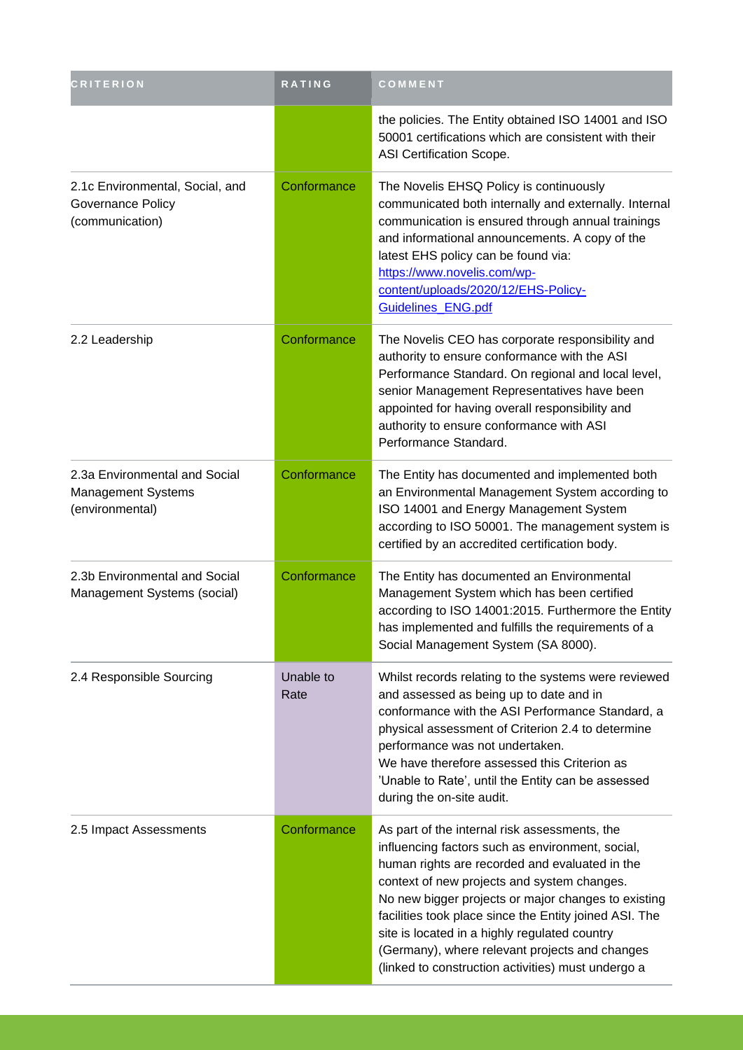| <b>CRITERION</b>                                                               | <b>RATING</b>     | COMMENT                                                                                                                                                                                                                                                                                                                                                                                                                                                                      |
|--------------------------------------------------------------------------------|-------------------|------------------------------------------------------------------------------------------------------------------------------------------------------------------------------------------------------------------------------------------------------------------------------------------------------------------------------------------------------------------------------------------------------------------------------------------------------------------------------|
|                                                                                |                   | the policies. The Entity obtained ISO 14001 and ISO<br>50001 certifications which are consistent with their<br>ASI Certification Scope.                                                                                                                                                                                                                                                                                                                                      |
| 2.1c Environmental, Social, and<br><b>Governance Policy</b><br>(communication) | Conformance       | The Novelis EHSQ Policy is continuously<br>communicated both internally and externally. Internal<br>communication is ensured through annual trainings<br>and informational announcements. A copy of the<br>latest EHS policy can be found via:<br>https://www.novelis.com/wp-<br>content/uploads/2020/12/EHS-Policy-<br>Guidelines_ENG.pdf                                                                                                                                   |
| 2.2 Leadership                                                                 | Conformance       | The Novelis CEO has corporate responsibility and<br>authority to ensure conformance with the ASI<br>Performance Standard. On regional and local level,<br>senior Management Representatives have been<br>appointed for having overall responsibility and<br>authority to ensure conformance with ASI<br>Performance Standard.                                                                                                                                                |
| 2.3a Environmental and Social<br><b>Management Systems</b><br>(environmental)  | Conformance       | The Entity has documented and implemented both<br>an Environmental Management System according to<br>ISO 14001 and Energy Management System<br>according to ISO 50001. The management system is<br>certified by an accredited certification body.                                                                                                                                                                                                                            |
| 2.3b Environmental and Social<br>Management Systems (social)                   | Conformance       | The Entity has documented an Environmental<br>Management System which has been certified<br>according to ISO 14001:2015. Furthermore the Entity<br>has implemented and fulfills the requirements of a<br>Social Management System (SA 8000).                                                                                                                                                                                                                                 |
| 2.4 Responsible Sourcing                                                       | Unable to<br>Rate | Whilst records relating to the systems were reviewed<br>and assessed as being up to date and in<br>conformance with the ASI Performance Standard, a<br>physical assessment of Criterion 2.4 to determine<br>performance was not undertaken.<br>We have therefore assessed this Criterion as<br>'Unable to Rate', until the Entity can be assessed<br>during the on-site audit.                                                                                               |
| 2.5 Impact Assessments                                                         | Conformance       | As part of the internal risk assessments, the<br>influencing factors such as environment, social,<br>human rights are recorded and evaluated in the<br>context of new projects and system changes.<br>No new bigger projects or major changes to existing<br>facilities took place since the Entity joined ASI. The<br>site is located in a highly regulated country<br>(Germany), where relevant projects and changes<br>(linked to construction activities) must undergo a |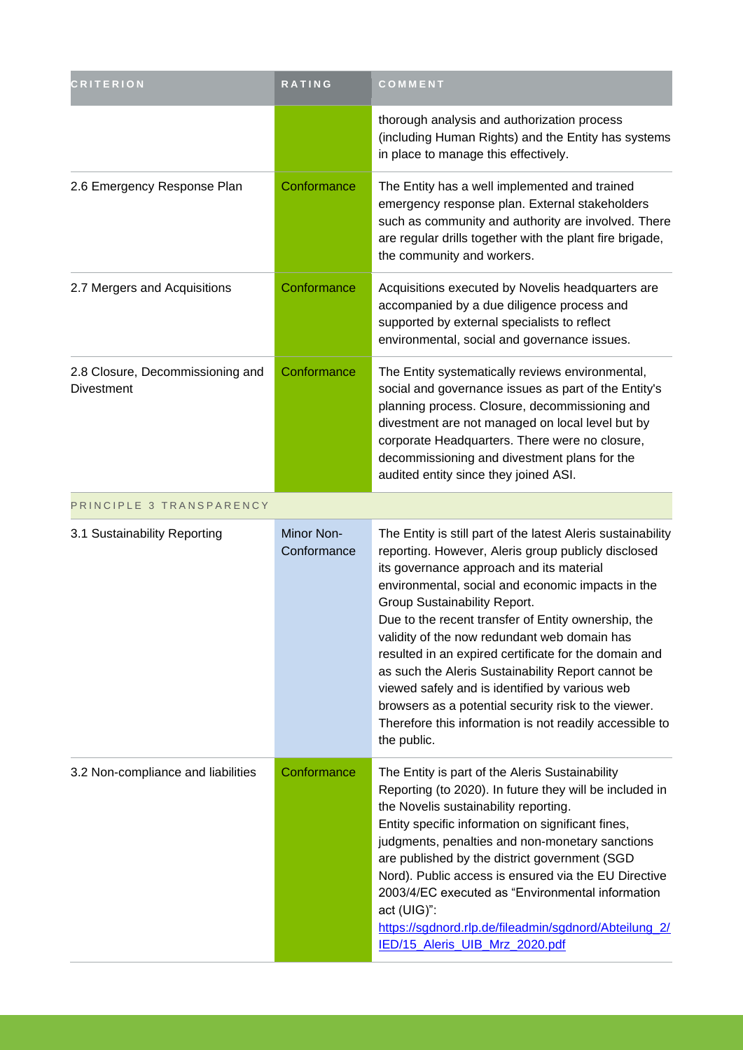| <b>CRITERION</b>                                      | <b>RATING</b>                    | COMMENT                                                                                                                                                                                                                                                                                                                                                                                                                                                                                                                                                                                                                                                        |
|-------------------------------------------------------|----------------------------------|----------------------------------------------------------------------------------------------------------------------------------------------------------------------------------------------------------------------------------------------------------------------------------------------------------------------------------------------------------------------------------------------------------------------------------------------------------------------------------------------------------------------------------------------------------------------------------------------------------------------------------------------------------------|
|                                                       |                                  | thorough analysis and authorization process<br>(including Human Rights) and the Entity has systems<br>in place to manage this effectively.                                                                                                                                                                                                                                                                                                                                                                                                                                                                                                                     |
| 2.6 Emergency Response Plan                           | Conformance                      | The Entity has a well implemented and trained<br>emergency response plan. External stakeholders<br>such as community and authority are involved. There<br>are regular drills together with the plant fire brigade,<br>the community and workers.                                                                                                                                                                                                                                                                                                                                                                                                               |
| 2.7 Mergers and Acquisitions                          | Conformance                      | Acquisitions executed by Novelis headquarters are<br>accompanied by a due diligence process and<br>supported by external specialists to reflect<br>environmental, social and governance issues.                                                                                                                                                                                                                                                                                                                                                                                                                                                                |
| 2.8 Closure, Decommissioning and<br><b>Divestment</b> | Conformance                      | The Entity systematically reviews environmental,<br>social and governance issues as part of the Entity's<br>planning process. Closure, decommissioning and<br>divestment are not managed on local level but by<br>corporate Headquarters. There were no closure,<br>decommissioning and divestment plans for the<br>audited entity since they joined ASI.                                                                                                                                                                                                                                                                                                      |
| PRINCIPLE 3 TRANSPARENCY                              |                                  |                                                                                                                                                                                                                                                                                                                                                                                                                                                                                                                                                                                                                                                                |
| 3.1 Sustainability Reporting                          | <b>Minor Non-</b><br>Conformance | The Entity is still part of the latest Aleris sustainability<br>reporting. However, Aleris group publicly disclosed<br>its governance approach and its material<br>environmental, social and economic impacts in the<br>Group Sustainability Report.<br>Due to the recent transfer of Entity ownership, the<br>validity of the now redundant web domain has<br>resulted in an expired certificate for the domain and<br>as such the Aleris Sustainability Report cannot be<br>viewed safely and is identified by various web<br>browsers as a potential security risk to the viewer.<br>Therefore this information is not readily accessible to<br>the public. |
| 3.2 Non-compliance and liabilities                    | Conformance                      | The Entity is part of the Aleris Sustainability<br>Reporting (to 2020). In future they will be included in<br>the Novelis sustainability reporting.<br>Entity specific information on significant fines,<br>judgments, penalties and non-monetary sanctions<br>are published by the district government (SGD<br>Nord). Public access is ensured via the EU Directive<br>2003/4/EC executed as "Environmental information<br>act (UIG)":<br>https://sgdnord.rlp.de/fileadmin/sgdnord/Abteilung_2/<br>IED/15_Aleris_UIB_Mrz_2020.pdf                                                                                                                             |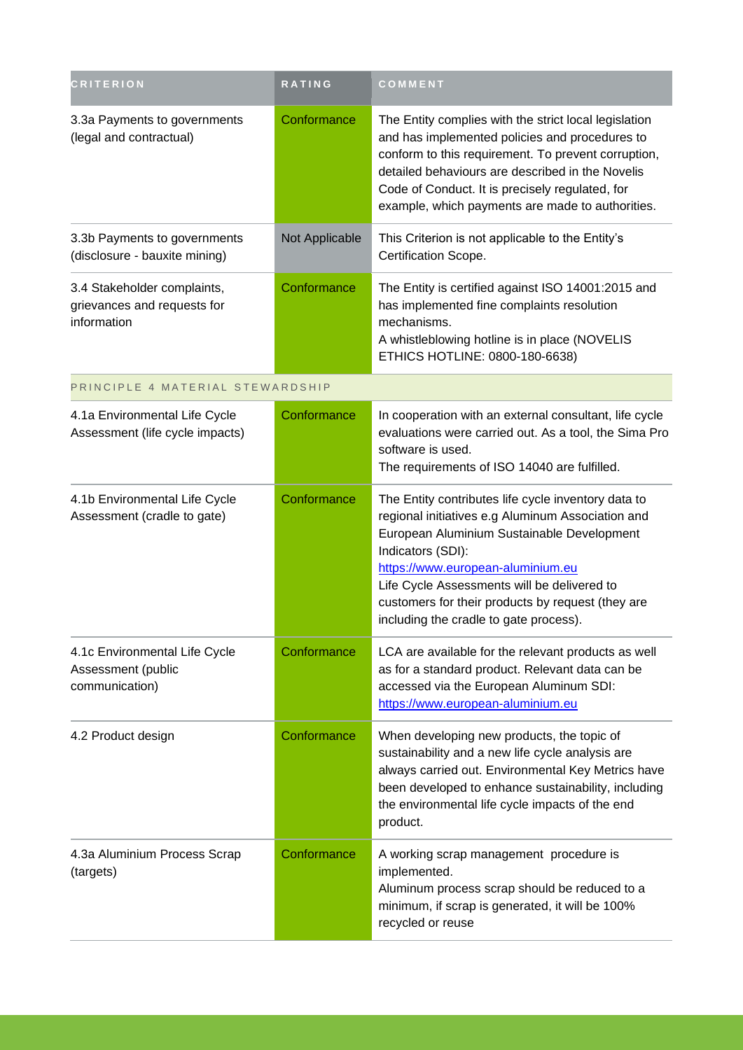| <b>CRITERION</b>                                                          | RATING         | COMMENT                                                                                                                                                                                                                                                                                                                                                        |
|---------------------------------------------------------------------------|----------------|----------------------------------------------------------------------------------------------------------------------------------------------------------------------------------------------------------------------------------------------------------------------------------------------------------------------------------------------------------------|
| 3.3a Payments to governments<br>(legal and contractual)                   | Conformance    | The Entity complies with the strict local legislation<br>and has implemented policies and procedures to<br>conform to this requirement. To prevent corruption,<br>detailed behaviours are described in the Novelis<br>Code of Conduct. It is precisely regulated, for<br>example, which payments are made to authorities.                                      |
| 3.3b Payments to governments<br>(disclosure - bauxite mining)             | Not Applicable | This Criterion is not applicable to the Entity's<br>Certification Scope.                                                                                                                                                                                                                                                                                       |
| 3.4 Stakeholder complaints,<br>grievances and requests for<br>information | Conformance    | The Entity is certified against ISO 14001:2015 and<br>has implemented fine complaints resolution<br>mechanisms.<br>A whistleblowing hotline is in place (NOVELIS<br>ETHICS HOTLINE: 0800-180-6638)                                                                                                                                                             |
| PRINCIPLE 4 MATERIAL STEWARDSHIP                                          |                |                                                                                                                                                                                                                                                                                                                                                                |
| 4.1a Environmental Life Cycle<br>Assessment (life cycle impacts)          | Conformance    | In cooperation with an external consultant, life cycle<br>evaluations were carried out. As a tool, the Sima Pro<br>software is used.<br>The requirements of ISO 14040 are fulfilled.                                                                                                                                                                           |
| 4.1b Environmental Life Cycle<br>Assessment (cradle to gate)              | Conformance    | The Entity contributes life cycle inventory data to<br>regional initiatives e.g Aluminum Association and<br>European Aluminium Sustainable Development<br>Indicators (SDI):<br>https://www.european-aluminium.eu<br>Life Cycle Assessments will be delivered to<br>customers for their products by request (they are<br>including the cradle to gate process). |
| 4.1c Environmental Life Cycle<br>Assessment (public<br>communication)     | Conformance    | LCA are available for the relevant products as well<br>as for a standard product. Relevant data can be<br>accessed via the European Aluminum SDI:<br>https://www.european-aluminium.eu                                                                                                                                                                         |
| 4.2 Product design                                                        | Conformance    | When developing new products, the topic of<br>sustainability and a new life cycle analysis are<br>always carried out. Environmental Key Metrics have<br>been developed to enhance sustainability, including<br>the environmental life cycle impacts of the end<br>product.                                                                                     |
| 4.3a Aluminium Process Scrap<br>(targets)                                 | Conformance    | A working scrap management procedure is<br>implemented.<br>Aluminum process scrap should be reduced to a<br>minimum, if scrap is generated, it will be 100%<br>recycled or reuse                                                                                                                                                                               |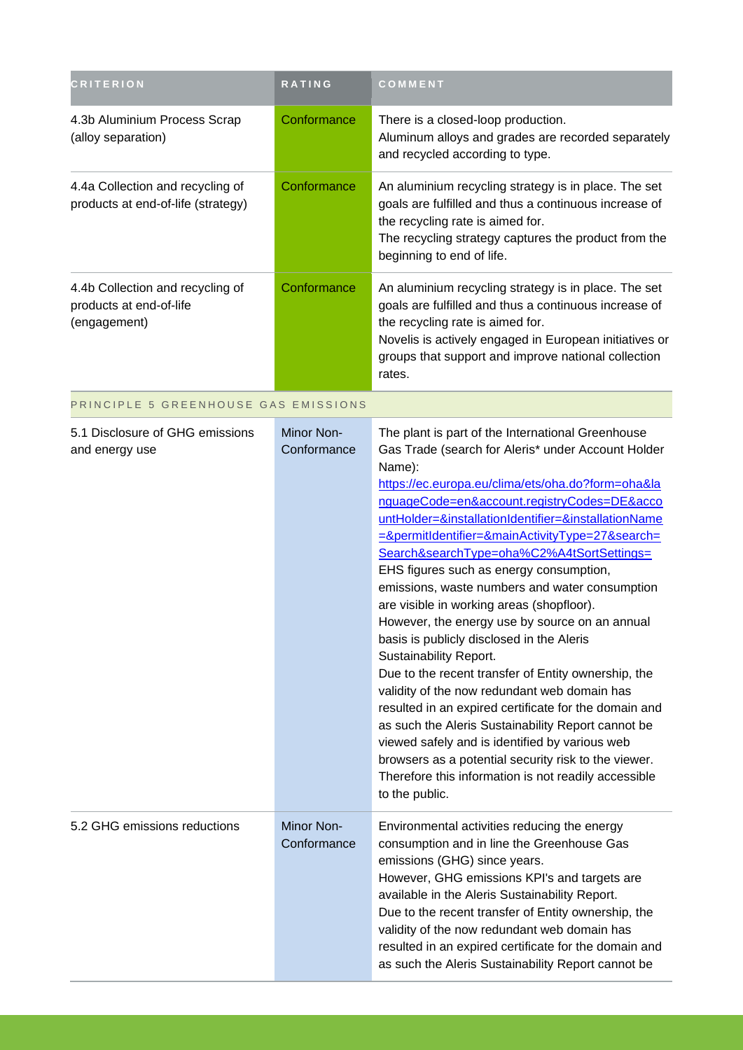| <b>CRITERION</b>                                                            | <b>RATING</b>             | COMMENT                                                                                                                                                                                                                                                                                                                                                                                                                                                                                                                                                                                                                                                                                                                                                                                                                                                                                                                                                                                                                                                   |
|-----------------------------------------------------------------------------|---------------------------|-----------------------------------------------------------------------------------------------------------------------------------------------------------------------------------------------------------------------------------------------------------------------------------------------------------------------------------------------------------------------------------------------------------------------------------------------------------------------------------------------------------------------------------------------------------------------------------------------------------------------------------------------------------------------------------------------------------------------------------------------------------------------------------------------------------------------------------------------------------------------------------------------------------------------------------------------------------------------------------------------------------------------------------------------------------|
| 4.3b Aluminium Process Scrap<br>(alloy separation)                          | Conformance               | There is a closed-loop production.<br>Aluminum alloys and grades are recorded separately<br>and recycled according to type.                                                                                                                                                                                                                                                                                                                                                                                                                                                                                                                                                                                                                                                                                                                                                                                                                                                                                                                               |
| 4.4a Collection and recycling of<br>products at end-of-life (strategy)      | Conformance               | An aluminium recycling strategy is in place. The set<br>goals are fulfilled and thus a continuous increase of<br>the recycling rate is aimed for.<br>The recycling strategy captures the product from the<br>beginning to end of life.                                                                                                                                                                                                                                                                                                                                                                                                                                                                                                                                                                                                                                                                                                                                                                                                                    |
| 4.4b Collection and recycling of<br>products at end-of-life<br>(engagement) | Conformance               | An aluminium recycling strategy is in place. The set<br>goals are fulfilled and thus a continuous increase of<br>the recycling rate is aimed for.<br>Novelis is actively engaged in European initiatives or<br>groups that support and improve national collection<br>rates.                                                                                                                                                                                                                                                                                                                                                                                                                                                                                                                                                                                                                                                                                                                                                                              |
| PRINCIPLE 5 GREENHOUSE GAS EMISSIONS                                        |                           |                                                                                                                                                                                                                                                                                                                                                                                                                                                                                                                                                                                                                                                                                                                                                                                                                                                                                                                                                                                                                                                           |
| 5.1 Disclosure of GHG emissions<br>and energy use                           | Minor Non-<br>Conformance | The plant is part of the International Greenhouse<br>Gas Trade (search for Aleris* under Account Holder<br>Name):<br>https://ec.europa.eu/clima/ets/oha.do?form=oha&la<br>nguageCode=en&account.registryCodes=DE&acco<br>untHolder=&installationIdentifier=&installationName<br>=&permitIdentifier=&mainActivityType=27&search=<br>Search&searchType=oha%C2%A4tSortSettings=<br>EHS figures such as energy consumption,<br>emissions, waste numbers and water consumption<br>are visible in working areas (shopfloor).<br>However, the energy use by source on an annual<br>basis is publicly disclosed in the Aleris<br>Sustainability Report.<br>Due to the recent transfer of Entity ownership, the<br>validity of the now redundant web domain has<br>resulted in an expired certificate for the domain and<br>as such the Aleris Sustainability Report cannot be<br>viewed safely and is identified by various web<br>browsers as a potential security risk to the viewer.<br>Therefore this information is not readily accessible<br>to the public. |
| 5.2 GHG emissions reductions                                                | Minor Non-<br>Conformance | Environmental activities reducing the energy<br>consumption and in line the Greenhouse Gas<br>emissions (GHG) since years.<br>However, GHG emissions KPI's and targets are<br>available in the Aleris Sustainability Report.<br>Due to the recent transfer of Entity ownership, the<br>validity of the now redundant web domain has<br>resulted in an expired certificate for the domain and<br>as such the Aleris Sustainability Report cannot be                                                                                                                                                                                                                                                                                                                                                                                                                                                                                                                                                                                                        |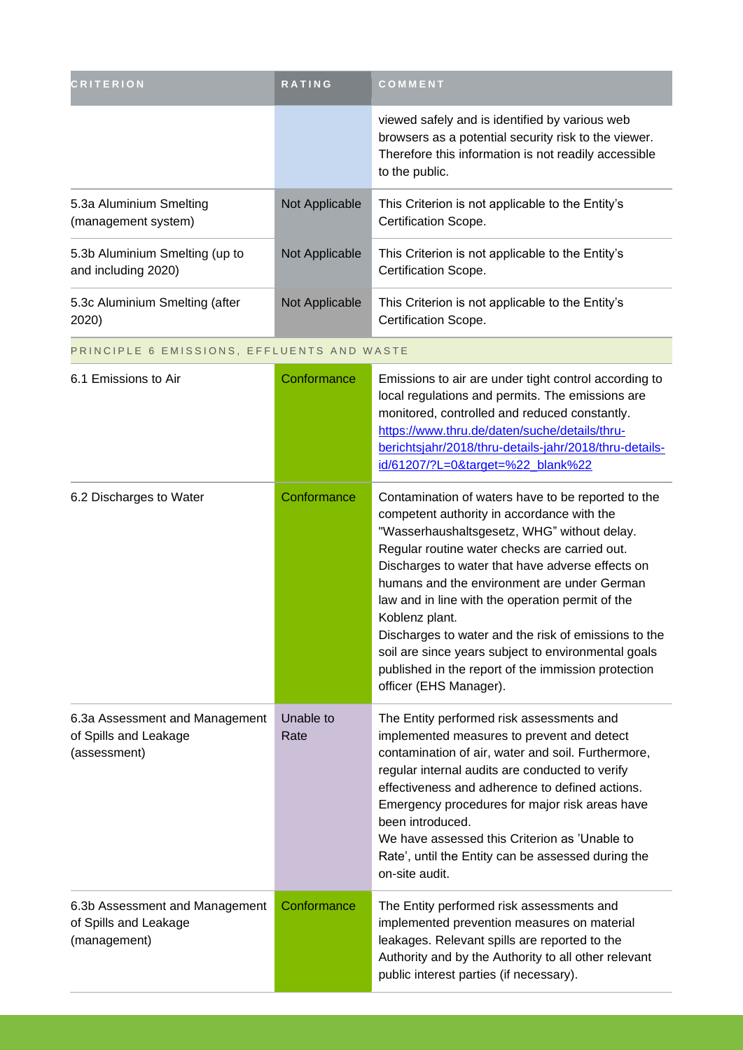| <b>CRITERION</b>                                                        | <b>RATING</b>     | COMMENT                                                                                                                                                                                                                                                                                                                                                                                                                                                                                                                                                                   |
|-------------------------------------------------------------------------|-------------------|---------------------------------------------------------------------------------------------------------------------------------------------------------------------------------------------------------------------------------------------------------------------------------------------------------------------------------------------------------------------------------------------------------------------------------------------------------------------------------------------------------------------------------------------------------------------------|
|                                                                         |                   | viewed safely and is identified by various web<br>browsers as a potential security risk to the viewer.<br>Therefore this information is not readily accessible<br>to the public.                                                                                                                                                                                                                                                                                                                                                                                          |
| 5.3a Aluminium Smelting<br>(management system)                          | Not Applicable    | This Criterion is not applicable to the Entity's<br>Certification Scope.                                                                                                                                                                                                                                                                                                                                                                                                                                                                                                  |
| 5.3b Aluminium Smelting (up to<br>and including 2020)                   | Not Applicable    | This Criterion is not applicable to the Entity's<br>Certification Scope.                                                                                                                                                                                                                                                                                                                                                                                                                                                                                                  |
| 5.3c Aluminium Smelting (after<br>2020)                                 | Not Applicable    | This Criterion is not applicable to the Entity's<br>Certification Scope.                                                                                                                                                                                                                                                                                                                                                                                                                                                                                                  |
| PRINCIPLE 6 EMISSIONS, EFFLUENTS AND WASTE                              |                   |                                                                                                                                                                                                                                                                                                                                                                                                                                                                                                                                                                           |
| 6.1 Emissions to Air                                                    | Conformance       | Emissions to air are under tight control according to<br>local regulations and permits. The emissions are<br>monitored, controlled and reduced constantly.<br>https://www.thru.de/daten/suche/details/thru-<br>berichtsjahr/2018/thru-details-jahr/2018/thru-details-<br>id/61207/?L=0⌖=%22_blank%22                                                                                                                                                                                                                                                                      |
| 6.2 Discharges to Water                                                 | Conformance       | Contamination of waters have to be reported to the<br>competent authority in accordance with the<br>"Wasserhaushaltsgesetz, WHG" without delay.<br>Regular routine water checks are carried out.<br>Discharges to water that have adverse effects on<br>humans and the environment are under German<br>law and in line with the operation permit of the<br>Koblenz plant.<br>Discharges to water and the risk of emissions to the<br>soil are since years subject to environmental goals<br>published in the report of the immission protection<br>officer (EHS Manager). |
| 6.3a Assessment and Management<br>of Spills and Leakage<br>(assessment) | Unable to<br>Rate | The Entity performed risk assessments and<br>implemented measures to prevent and detect<br>contamination of air, water and soil. Furthermore,<br>regular internal audits are conducted to verify<br>effectiveness and adherence to defined actions.<br>Emergency procedures for major risk areas have<br>been introduced.<br>We have assessed this Criterion as 'Unable to<br>Rate', until the Entity can be assessed during the<br>on-site audit.                                                                                                                        |
| 6.3b Assessment and Management<br>of Spills and Leakage<br>(management) | Conformance       | The Entity performed risk assessments and<br>implemented prevention measures on material<br>leakages. Relevant spills are reported to the<br>Authority and by the Authority to all other relevant<br>public interest parties (if necessary).                                                                                                                                                                                                                                                                                                                              |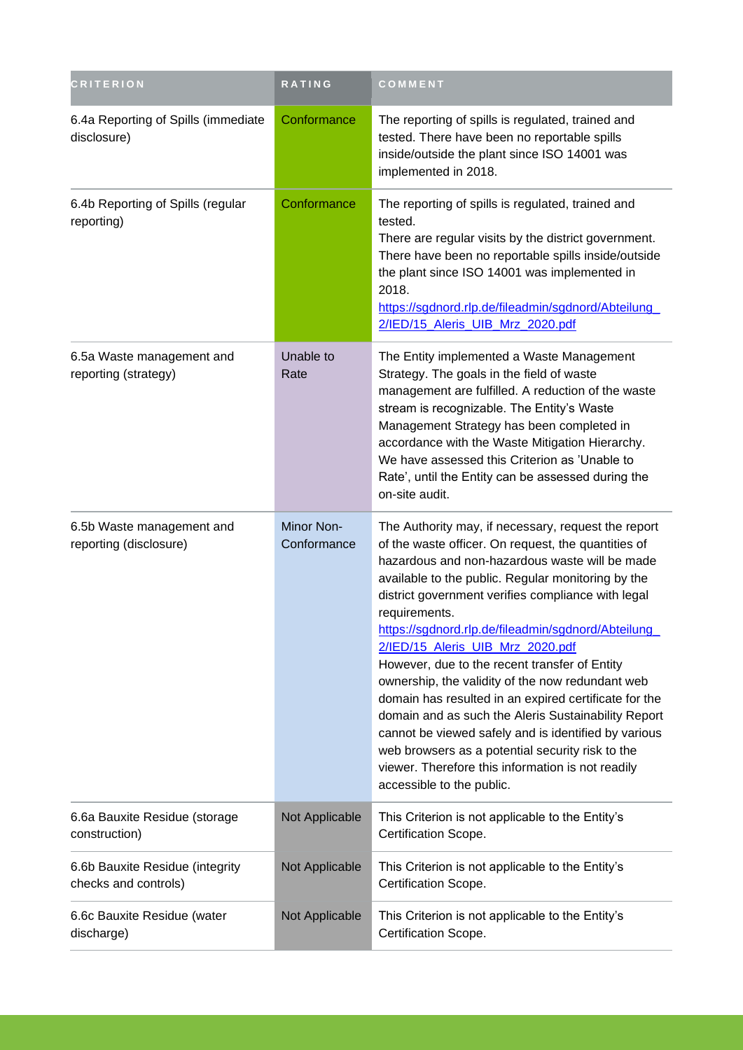| <b>CRITERION</b>                                        | <b>RATING</b>             | COMMENT                                                                                                                                                                                                                                                                                                                                                                                                                                                                                                                                                                                                                                                                                                                                                                                                |
|---------------------------------------------------------|---------------------------|--------------------------------------------------------------------------------------------------------------------------------------------------------------------------------------------------------------------------------------------------------------------------------------------------------------------------------------------------------------------------------------------------------------------------------------------------------------------------------------------------------------------------------------------------------------------------------------------------------------------------------------------------------------------------------------------------------------------------------------------------------------------------------------------------------|
| 6.4a Reporting of Spills (immediate<br>disclosure)      | Conformance               | The reporting of spills is regulated, trained and<br>tested. There have been no reportable spills<br>inside/outside the plant since ISO 14001 was<br>implemented in 2018.                                                                                                                                                                                                                                                                                                                                                                                                                                                                                                                                                                                                                              |
| 6.4b Reporting of Spills (regular<br>reporting)         | Conformance               | The reporting of spills is regulated, trained and<br>tested.<br>There are regular visits by the district government.<br>There have been no reportable spills inside/outside<br>the plant since ISO 14001 was implemented in<br>2018.<br>https://sgdnord.rlp.de/fileadmin/sgdnord/Abteilung<br>2/IED/15_Aleris_UIB_Mrz_2020.pdf                                                                                                                                                                                                                                                                                                                                                                                                                                                                         |
| 6.5a Waste management and<br>reporting (strategy)       | Unable to<br>Rate         | The Entity implemented a Waste Management<br>Strategy. The goals in the field of waste<br>management are fulfilled. A reduction of the waste<br>stream is recognizable. The Entity's Waste<br>Management Strategy has been completed in<br>accordance with the Waste Mitigation Hierarchy.<br>We have assessed this Criterion as 'Unable to<br>Rate', until the Entity can be assessed during the<br>on-site audit.                                                                                                                                                                                                                                                                                                                                                                                    |
| 6.5b Waste management and<br>reporting (disclosure)     | Minor Non-<br>Conformance | The Authority may, if necessary, request the report<br>of the waste officer. On request, the quantities of<br>hazardous and non-hazardous waste will be made<br>available to the public. Regular monitoring by the<br>district government verifies compliance with legal<br>requirements.<br>https://sgdnord.rlp.de/fileadmin/sgdnord/Abteilung<br>2/IED/15_Aleris_UIB_Mrz_2020.pdf<br>However, due to the recent transfer of Entity<br>ownership, the validity of the now redundant web<br>domain has resulted in an expired certificate for the<br>domain and as such the Aleris Sustainability Report<br>cannot be viewed safely and is identified by various<br>web browsers as a potential security risk to the<br>viewer. Therefore this information is not readily<br>accessible to the public. |
| 6.6a Bauxite Residue (storage<br>construction)          | Not Applicable            | This Criterion is not applicable to the Entity's<br>Certification Scope.                                                                                                                                                                                                                                                                                                                                                                                                                                                                                                                                                                                                                                                                                                                               |
| 6.6b Bauxite Residue (integrity<br>checks and controls) | Not Applicable            | This Criterion is not applicable to the Entity's<br>Certification Scope.                                                                                                                                                                                                                                                                                                                                                                                                                                                                                                                                                                                                                                                                                                                               |
| 6.6c Bauxite Residue (water<br>discharge)               | Not Applicable            | This Criterion is not applicable to the Entity's<br>Certification Scope.                                                                                                                                                                                                                                                                                                                                                                                                                                                                                                                                                                                                                                                                                                                               |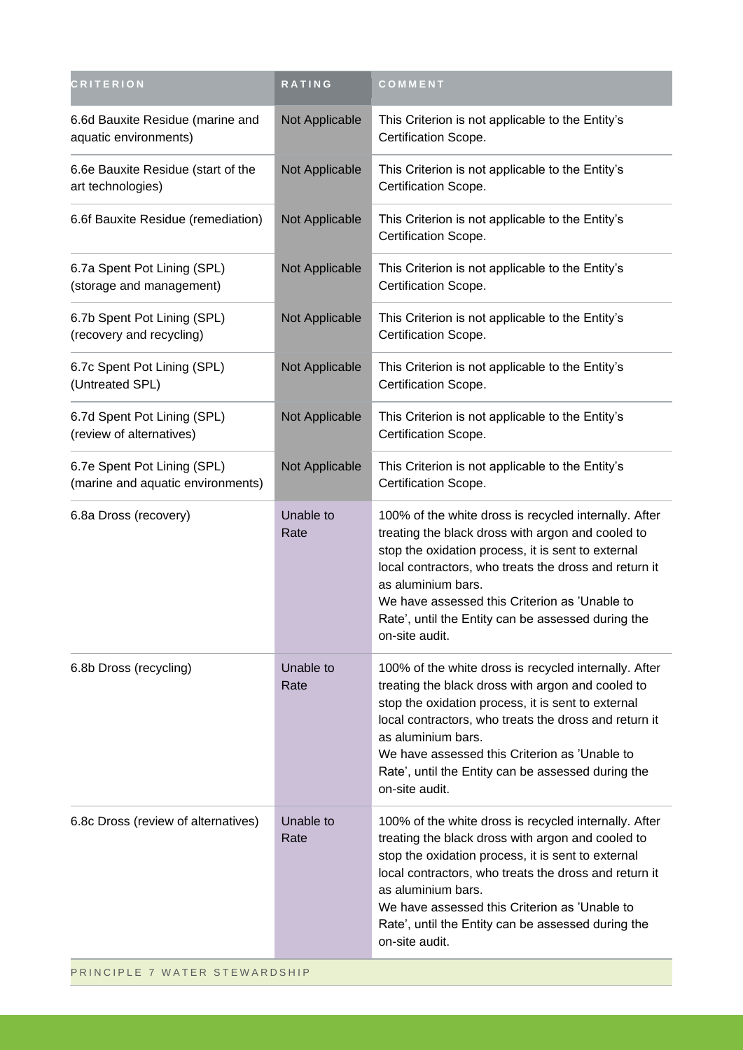| <b>CRITERION</b>                                                 | RATING            | COMMENT                                                                                                                                                                                                                                                                                                                                                                  |
|------------------------------------------------------------------|-------------------|--------------------------------------------------------------------------------------------------------------------------------------------------------------------------------------------------------------------------------------------------------------------------------------------------------------------------------------------------------------------------|
| 6.6d Bauxite Residue (marine and<br>aquatic environments)        | Not Applicable    | This Criterion is not applicable to the Entity's<br>Certification Scope.                                                                                                                                                                                                                                                                                                 |
| 6.6e Bauxite Residue (start of the<br>art technologies)          | Not Applicable    | This Criterion is not applicable to the Entity's<br>Certification Scope.                                                                                                                                                                                                                                                                                                 |
| 6.6f Bauxite Residue (remediation)                               | Not Applicable    | This Criterion is not applicable to the Entity's<br>Certification Scope.                                                                                                                                                                                                                                                                                                 |
| 6.7a Spent Pot Lining (SPL)<br>(storage and management)          | Not Applicable    | This Criterion is not applicable to the Entity's<br>Certification Scope.                                                                                                                                                                                                                                                                                                 |
| 6.7b Spent Pot Lining (SPL)<br>(recovery and recycling)          | Not Applicable    | This Criterion is not applicable to the Entity's<br>Certification Scope.                                                                                                                                                                                                                                                                                                 |
| 6.7c Spent Pot Lining (SPL)<br>(Untreated SPL)                   | Not Applicable    | This Criterion is not applicable to the Entity's<br>Certification Scope.                                                                                                                                                                                                                                                                                                 |
| 6.7d Spent Pot Lining (SPL)<br>(review of alternatives)          | Not Applicable    | This Criterion is not applicable to the Entity's<br>Certification Scope.                                                                                                                                                                                                                                                                                                 |
| 6.7e Spent Pot Lining (SPL)<br>(marine and aquatic environments) | Not Applicable    | This Criterion is not applicable to the Entity's<br>Certification Scope.                                                                                                                                                                                                                                                                                                 |
| 6.8a Dross (recovery)                                            | Unable to<br>Rate | 100% of the white dross is recycled internally. After<br>treating the black dross with argon and cooled to<br>stop the oxidation process, it is sent to external<br>local contractors, who treats the dross and return it<br>as aluminium bars.<br>We have assessed this Criterion as 'Unable to<br>Rate', until the Entity can be assessed during the<br>on-site audit. |
| 6.8b Dross (recycling)                                           | Unable to<br>Rate | 100% of the white dross is recycled internally. After<br>treating the black dross with argon and cooled to<br>stop the oxidation process, it is sent to external<br>local contractors, who treats the dross and return it<br>as aluminium bars.<br>We have assessed this Criterion as 'Unable to<br>Rate', until the Entity can be assessed during the<br>on-site audit. |
| 6.8c Dross (review of alternatives)                              | Unable to<br>Rate | 100% of the white dross is recycled internally. After<br>treating the black dross with argon and cooled to<br>stop the oxidation process, it is sent to external<br>local contractors, who treats the dross and return it<br>as aluminium bars.<br>We have assessed this Criterion as 'Unable to<br>Rate', until the Entity can be assessed during the<br>on-site audit. |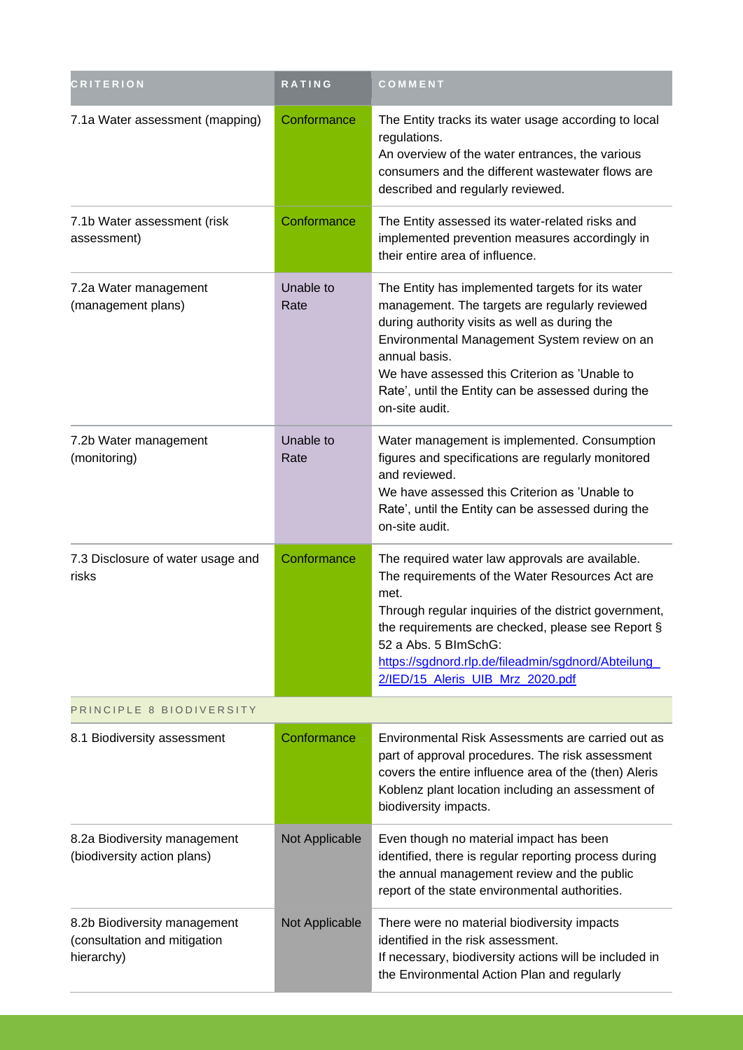| <b>CRITERION</b>                                                           | RATING            | COMMENT                                                                                                                                                                                                                                                                                                                                       |  |
|----------------------------------------------------------------------------|-------------------|-----------------------------------------------------------------------------------------------------------------------------------------------------------------------------------------------------------------------------------------------------------------------------------------------------------------------------------------------|--|
| 7.1a Water assessment (mapping)                                            | Conformance       | The Entity tracks its water usage according to local<br>regulations.<br>An overview of the water entrances, the various<br>consumers and the different wastewater flows are<br>described and regularly reviewed.                                                                                                                              |  |
| 7.1b Water assessment (risk<br>assessment)                                 | Conformance       | The Entity assessed its water-related risks and<br>implemented prevention measures accordingly in<br>their entire area of influence.                                                                                                                                                                                                          |  |
| 7.2a Water management<br>(management plans)                                | Unable to<br>Rate | The Entity has implemented targets for its water<br>management. The targets are regularly reviewed<br>during authority visits as well as during the<br>Environmental Management System review on an<br>annual basis.<br>We have assessed this Criterion as 'Unable to<br>Rate', until the Entity can be assessed during the<br>on-site audit. |  |
| 7.2b Water management<br>(monitoring)                                      | Unable to<br>Rate | Water management is implemented. Consumption<br>figures and specifications are regularly monitored<br>and reviewed.<br>We have assessed this Criterion as 'Unable to<br>Rate', until the Entity can be assessed during the<br>on-site audit.                                                                                                  |  |
| 7.3 Disclosure of water usage and<br>risks                                 | Conformance       | The required water law approvals are available.<br>The requirements of the Water Resources Act are<br>met.<br>Through regular inquiries of the district government,<br>the requirements are checked, please see Report §<br>52 a Abs. 5 BlmSchG:<br>https://sgdnord.rlp.de/fileadmin/sgdnord/Abteilung<br>2/IED/15_Aleris_UIB_Mrz_2020.pdf    |  |
| PRINCIPLE 8 BIODIVERSITY                                                   |                   |                                                                                                                                                                                                                                                                                                                                               |  |
| 8.1 Biodiversity assessment                                                | Conformance       | Environmental Risk Assessments are carried out as<br>part of approval procedures. The risk assessment<br>covers the entire influence area of the (then) Aleris<br>Koblenz plant location including an assessment of<br>biodiversity impacts.                                                                                                  |  |
| 8.2a Biodiversity management<br>(biodiversity action plans)                | Not Applicable    | Even though no material impact has been<br>identified, there is regular reporting process during<br>the annual management review and the public<br>report of the state environmental authorities.                                                                                                                                             |  |
| 8.2b Biodiversity management<br>(consultation and mitigation<br>hierarchy) | Not Applicable    | There were no material biodiversity impacts<br>identified in the risk assessment.<br>If necessary, biodiversity actions will be included in<br>the Environmental Action Plan and regularly                                                                                                                                                    |  |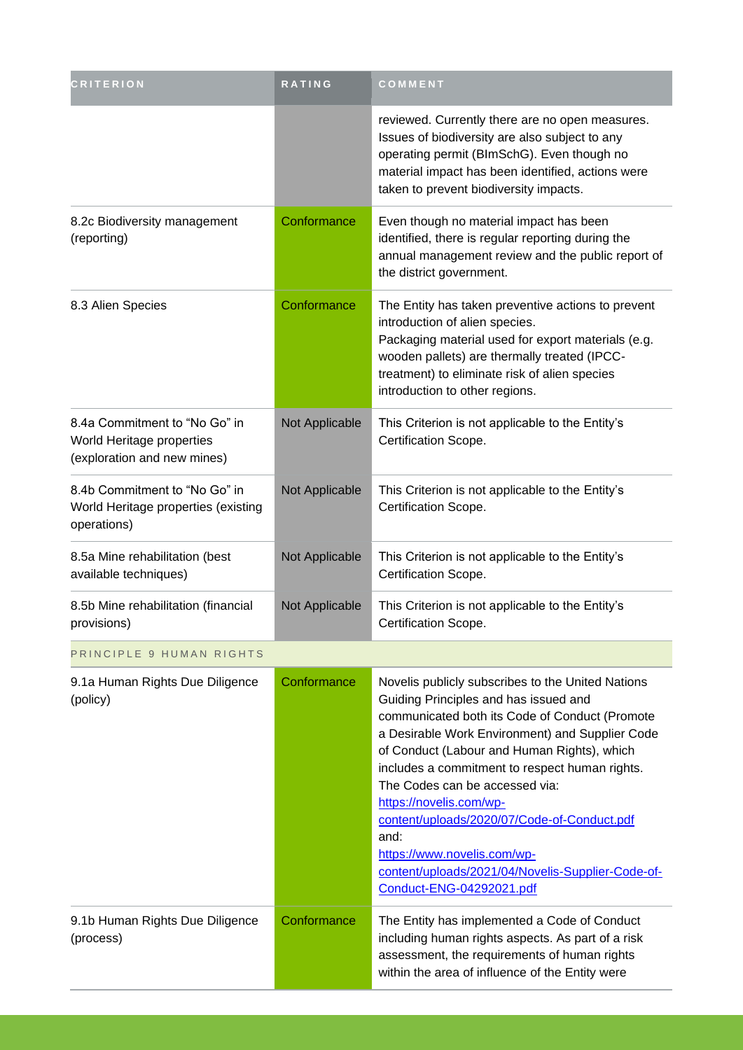| <b>CRITERION</b>                                                                          | RATING         | COMMENT                                                                                                                                                                                                                                                                                                                                                                                                                                                                                                                              |
|-------------------------------------------------------------------------------------------|----------------|--------------------------------------------------------------------------------------------------------------------------------------------------------------------------------------------------------------------------------------------------------------------------------------------------------------------------------------------------------------------------------------------------------------------------------------------------------------------------------------------------------------------------------------|
|                                                                                           |                | reviewed. Currently there are no open measures.<br>Issues of biodiversity are also subject to any<br>operating permit (BImSchG). Even though no<br>material impact has been identified, actions were<br>taken to prevent biodiversity impacts.                                                                                                                                                                                                                                                                                       |
| 8.2c Biodiversity management<br>(reporting)                                               | Conformance    | Even though no material impact has been<br>identified, there is regular reporting during the<br>annual management review and the public report of<br>the district government.                                                                                                                                                                                                                                                                                                                                                        |
| 8.3 Alien Species                                                                         | Conformance    | The Entity has taken preventive actions to prevent<br>introduction of alien species.<br>Packaging material used for export materials (e.g.<br>wooden pallets) are thermally treated (IPCC-<br>treatment) to eliminate risk of alien species<br>introduction to other regions.                                                                                                                                                                                                                                                        |
| 8.4a Commitment to "No Go" in<br>World Heritage properties<br>(exploration and new mines) | Not Applicable | This Criterion is not applicable to the Entity's<br>Certification Scope.                                                                                                                                                                                                                                                                                                                                                                                                                                                             |
| 8.4b Commitment to "No Go" in<br>World Heritage properties (existing<br>operations)       | Not Applicable | This Criterion is not applicable to the Entity's<br>Certification Scope.                                                                                                                                                                                                                                                                                                                                                                                                                                                             |
| 8.5a Mine rehabilitation (best<br>available techniques)                                   | Not Applicable | This Criterion is not applicable to the Entity's<br>Certification Scope.                                                                                                                                                                                                                                                                                                                                                                                                                                                             |
| 8.5b Mine rehabilitation (financial<br>provisions)                                        | Not Applicable | This Criterion is not applicable to the Entity's<br>Certification Scope.                                                                                                                                                                                                                                                                                                                                                                                                                                                             |
| PRINCIPLE 9 HUMAN RIGHTS                                                                  |                |                                                                                                                                                                                                                                                                                                                                                                                                                                                                                                                                      |
| 9.1a Human Rights Due Diligence<br>(policy)                                               | Conformance    | Novelis publicly subscribes to the United Nations<br>Guiding Principles and has issued and<br>communicated both its Code of Conduct (Promote<br>a Desirable Work Environment) and Supplier Code<br>of Conduct (Labour and Human Rights), which<br>includes a commitment to respect human rights.<br>The Codes can be accessed via:<br>https://novelis.com/wp-<br>content/uploads/2020/07/Code-of-Conduct.pdf<br>and:<br>https://www.novelis.com/wp-<br>content/uploads/2021/04/Novelis-Supplier-Code-of-<br>Conduct-ENG-04292021.pdf |
| 9.1b Human Rights Due Diligence<br>(process)                                              | Conformance    | The Entity has implemented a Code of Conduct<br>including human rights aspects. As part of a risk<br>assessment, the requirements of human rights<br>within the area of influence of the Entity were                                                                                                                                                                                                                                                                                                                                 |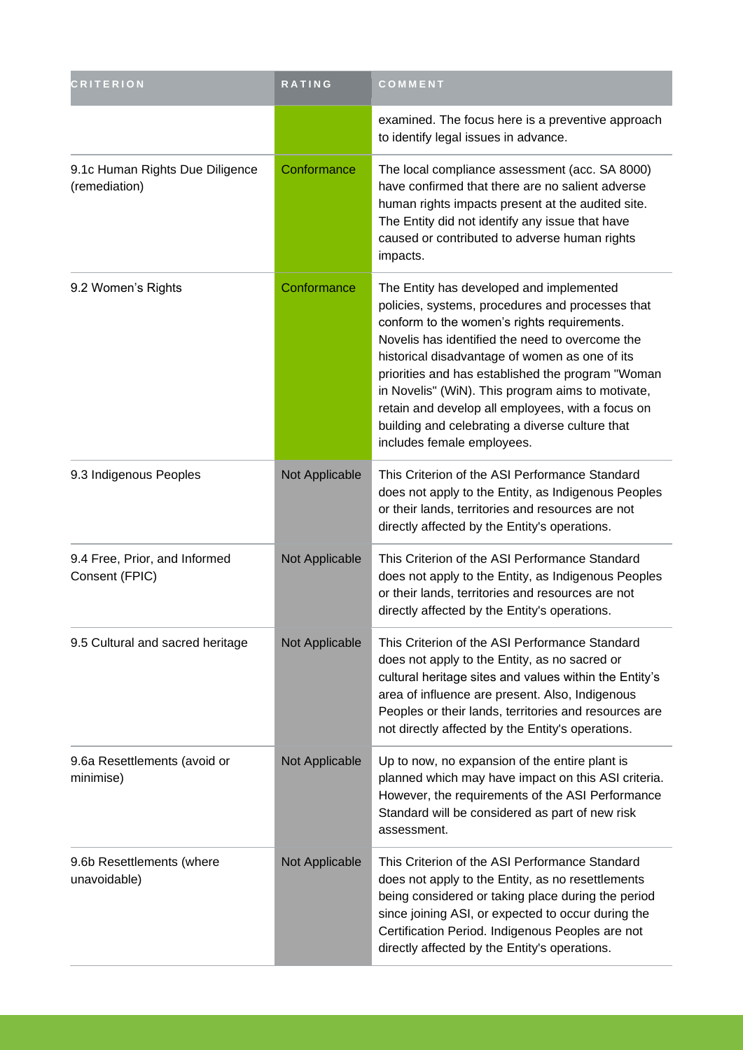| CRITERION                                        | <b>RATING</b>  | COMMENT                                                                                                                                                                                                                                                                                                                                                                                                                                                                                          |
|--------------------------------------------------|----------------|--------------------------------------------------------------------------------------------------------------------------------------------------------------------------------------------------------------------------------------------------------------------------------------------------------------------------------------------------------------------------------------------------------------------------------------------------------------------------------------------------|
|                                                  |                | examined. The focus here is a preventive approach<br>to identify legal issues in advance.                                                                                                                                                                                                                                                                                                                                                                                                        |
| 9.1c Human Rights Due Diligence<br>(remediation) | Conformance    | The local compliance assessment (acc. SA 8000)<br>have confirmed that there are no salient adverse<br>human rights impacts present at the audited site.<br>The Entity did not identify any issue that have<br>caused or contributed to adverse human rights<br>impacts.                                                                                                                                                                                                                          |
| 9.2 Women's Rights                               | Conformance    | The Entity has developed and implemented<br>policies, systems, procedures and processes that<br>conform to the women's rights requirements.<br>Novelis has identified the need to overcome the<br>historical disadvantage of women as one of its<br>priorities and has established the program "Woman<br>in Novelis" (WiN). This program aims to motivate,<br>retain and develop all employees, with a focus on<br>building and celebrating a diverse culture that<br>includes female employees. |
| 9.3 Indigenous Peoples                           | Not Applicable | This Criterion of the ASI Performance Standard<br>does not apply to the Entity, as Indigenous Peoples<br>or their lands, territories and resources are not<br>directly affected by the Entity's operations.                                                                                                                                                                                                                                                                                      |
| 9.4 Free, Prior, and Informed<br>Consent (FPIC)  | Not Applicable | This Criterion of the ASI Performance Standard<br>does not apply to the Entity, as Indigenous Peoples<br>or their lands, territories and resources are not<br>directly affected by the Entity's operations.                                                                                                                                                                                                                                                                                      |
| 9.5 Cultural and sacred heritage                 | Not Applicable | This Criterion of the ASI Performance Standard<br>does not apply to the Entity, as no sacred or<br>cultural heritage sites and values within the Entity's<br>area of influence are present. Also, Indigenous<br>Peoples or their lands, territories and resources are<br>not directly affected by the Entity's operations.                                                                                                                                                                       |
| 9.6a Resettlements (avoid or<br>minimise)        | Not Applicable | Up to now, no expansion of the entire plant is<br>planned which may have impact on this ASI criteria.<br>However, the requirements of the ASI Performance<br>Standard will be considered as part of new risk<br>assessment.                                                                                                                                                                                                                                                                      |
| 9.6b Resettlements (where<br>unavoidable)        | Not Applicable | This Criterion of the ASI Performance Standard<br>does not apply to the Entity, as no resettlements<br>being considered or taking place during the period<br>since joining ASI, or expected to occur during the<br>Certification Period. Indigenous Peoples are not<br>directly affected by the Entity's operations.                                                                                                                                                                             |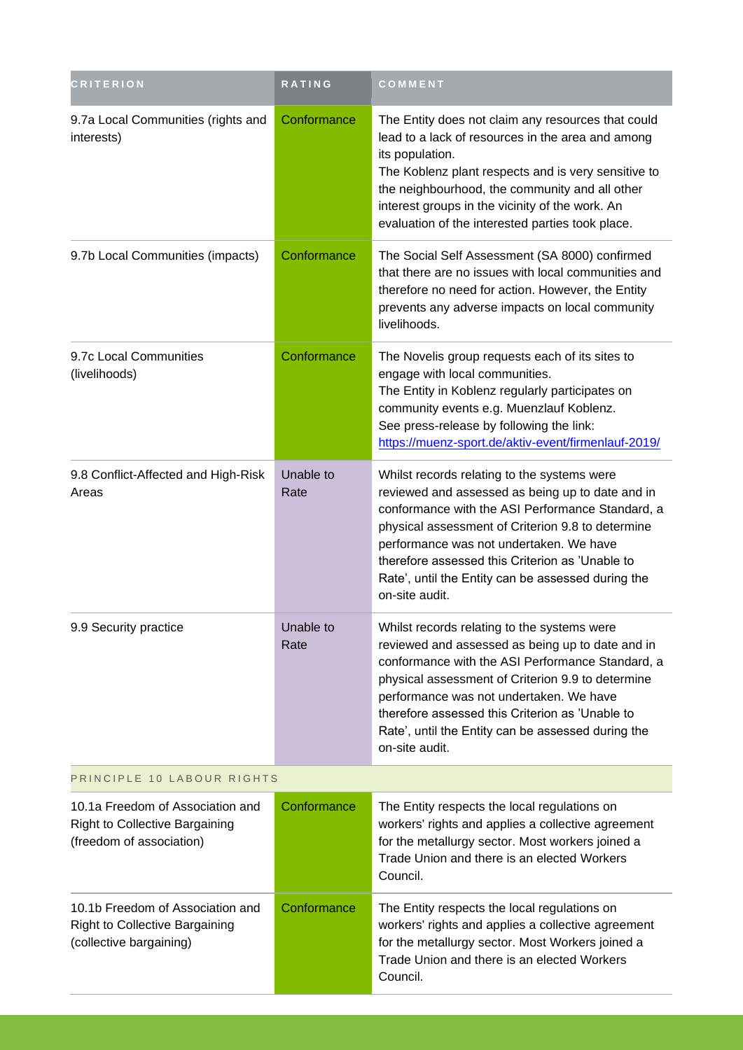| <b>CRITERION</b>                                                                                     | RATING            | COMMENT                                                                                                                                                                                                                                                                                                                                                                        |  |
|------------------------------------------------------------------------------------------------------|-------------------|--------------------------------------------------------------------------------------------------------------------------------------------------------------------------------------------------------------------------------------------------------------------------------------------------------------------------------------------------------------------------------|--|
| 9.7a Local Communities (rights and<br>interests)                                                     | Conformance       | The Entity does not claim any resources that could<br>lead to a lack of resources in the area and among<br>its population.<br>The Koblenz plant respects and is very sensitive to<br>the neighbourhood, the community and all other<br>interest groups in the vicinity of the work. An<br>evaluation of the interested parties took place.                                     |  |
| 9.7b Local Communities (impacts)                                                                     | Conformance       | The Social Self Assessment (SA 8000) confirmed<br>that there are no issues with local communities and<br>therefore no need for action. However, the Entity<br>prevents any adverse impacts on local community<br>livelihoods.                                                                                                                                                  |  |
| 9.7c Local Communities<br>(livelihoods)                                                              | Conformance       | The Novelis group requests each of its sites to<br>engage with local communities.<br>The Entity in Koblenz regularly participates on<br>community events e.g. Muenzlauf Koblenz.<br>See press-release by following the link:<br>https://muenz-sport.de/aktiv-event/firmenlauf-2019/                                                                                            |  |
| 9.8 Conflict-Affected and High-Risk<br>Areas                                                         | Unable to<br>Rate | Whilst records relating to the systems were<br>reviewed and assessed as being up to date and in<br>conformance with the ASI Performance Standard, a<br>physical assessment of Criterion 9.8 to determine<br>performance was not undertaken. We have<br>therefore assessed this Criterion as 'Unable to<br>Rate', until the Entity can be assessed during the<br>on-site audit. |  |
| 9.9 Security practice                                                                                | Unable to<br>Rate | Whilst records relating to the systems were<br>reviewed and assessed as being up to date and in<br>conformance with the ASI Performance Standard, a<br>physical assessment of Criterion 9.9 to determine<br>performance was not undertaken. We have<br>therefore assessed this Criterion as 'Unable to<br>Rate', until the Entity can be assessed during the<br>on-site audit. |  |
| PRINCIPLE 10 LABOUR RIGHTS                                                                           |                   |                                                                                                                                                                                                                                                                                                                                                                                |  |
| 10.1a Freedom of Association and<br>Right to Collective Bargaining<br>(freedom of association)       | Conformance       | The Entity respects the local regulations on<br>workers' rights and applies a collective agreement<br>for the metallurgy sector. Most workers joined a<br>Trade Union and there is an elected Workers<br>Council.                                                                                                                                                              |  |
| 10.1b Freedom of Association and<br><b>Right to Collective Bargaining</b><br>(collective bargaining) | Conformance       | The Entity respects the local regulations on<br>workers' rights and applies a collective agreement<br>for the metallurgy sector. Most Workers joined a<br>Trade Union and there is an elected Workers<br>Council.                                                                                                                                                              |  |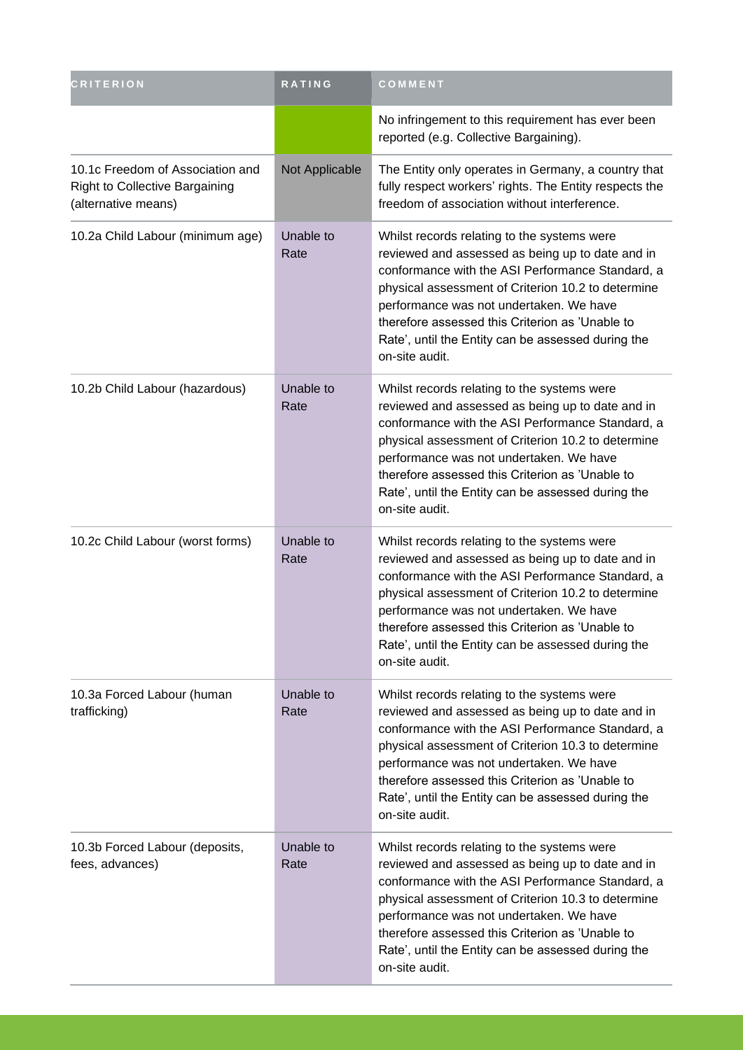| <b>CRITERION</b>                                                                                 | RATING            | COMMENT                                                                                                                                                                                                                                                                                                                                                                         |
|--------------------------------------------------------------------------------------------------|-------------------|---------------------------------------------------------------------------------------------------------------------------------------------------------------------------------------------------------------------------------------------------------------------------------------------------------------------------------------------------------------------------------|
|                                                                                                  |                   | No infringement to this requirement has ever been<br>reported (e.g. Collective Bargaining).                                                                                                                                                                                                                                                                                     |
| 10.1c Freedom of Association and<br><b>Right to Collective Bargaining</b><br>(alternative means) | Not Applicable    | The Entity only operates in Germany, a country that<br>fully respect workers' rights. The Entity respects the<br>freedom of association without interference.                                                                                                                                                                                                                   |
| 10.2a Child Labour (minimum age)                                                                 | Unable to<br>Rate | Whilst records relating to the systems were<br>reviewed and assessed as being up to date and in<br>conformance with the ASI Performance Standard, a<br>physical assessment of Criterion 10.2 to determine<br>performance was not undertaken. We have<br>therefore assessed this Criterion as 'Unable to<br>Rate', until the Entity can be assessed during the<br>on-site audit. |
| 10.2b Child Labour (hazardous)                                                                   | Unable to<br>Rate | Whilst records relating to the systems were<br>reviewed and assessed as being up to date and in<br>conformance with the ASI Performance Standard, a<br>physical assessment of Criterion 10.2 to determine<br>performance was not undertaken. We have<br>therefore assessed this Criterion as 'Unable to<br>Rate', until the Entity can be assessed during the<br>on-site audit. |
| 10.2c Child Labour (worst forms)                                                                 | Unable to<br>Rate | Whilst records relating to the systems were<br>reviewed and assessed as being up to date and in<br>conformance with the ASI Performance Standard, a<br>physical assessment of Criterion 10.2 to determine<br>performance was not undertaken. We have<br>therefore assessed this Criterion as 'Unable to<br>Rate', until the Entity can be assessed during the<br>on-site audit. |
| 10.3a Forced Labour (human<br>trafficking)                                                       | Unable to<br>Rate | Whilst records relating to the systems were<br>reviewed and assessed as being up to date and in<br>conformance with the ASI Performance Standard, a<br>physical assessment of Criterion 10.3 to determine<br>performance was not undertaken. We have<br>therefore assessed this Criterion as 'Unable to<br>Rate', until the Entity can be assessed during the<br>on-site audit. |
| 10.3b Forced Labour (deposits,<br>fees, advances)                                                | Unable to<br>Rate | Whilst records relating to the systems were<br>reviewed and assessed as being up to date and in<br>conformance with the ASI Performance Standard, a<br>physical assessment of Criterion 10.3 to determine<br>performance was not undertaken. We have<br>therefore assessed this Criterion as 'Unable to<br>Rate', until the Entity can be assessed during the<br>on-site audit. |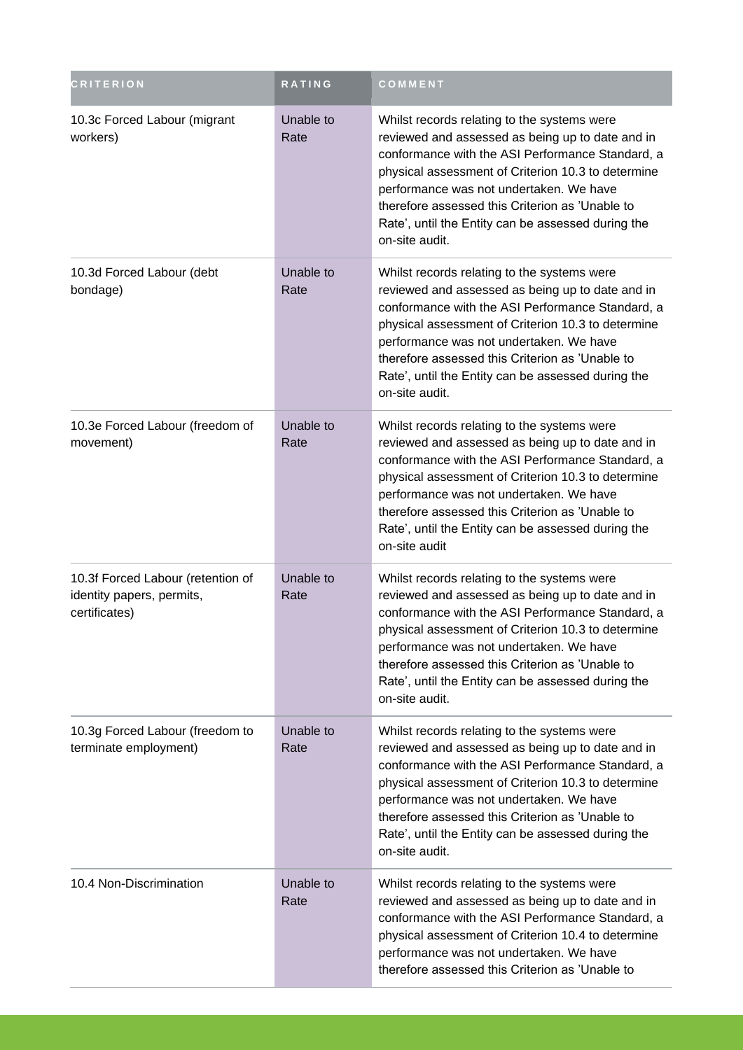| <b>CRITERION</b>                                                                | <b>RATING</b>     | COMMENT                                                                                                                                                                                                                                                                                                                                                                         |
|---------------------------------------------------------------------------------|-------------------|---------------------------------------------------------------------------------------------------------------------------------------------------------------------------------------------------------------------------------------------------------------------------------------------------------------------------------------------------------------------------------|
| 10.3c Forced Labour (migrant<br>workers)                                        | Unable to<br>Rate | Whilst records relating to the systems were<br>reviewed and assessed as being up to date and in<br>conformance with the ASI Performance Standard, a<br>physical assessment of Criterion 10.3 to determine<br>performance was not undertaken. We have<br>therefore assessed this Criterion as 'Unable to<br>Rate', until the Entity can be assessed during the<br>on-site audit. |
| 10.3d Forced Labour (debt<br>bondage)                                           | Unable to<br>Rate | Whilst records relating to the systems were<br>reviewed and assessed as being up to date and in<br>conformance with the ASI Performance Standard, a<br>physical assessment of Criterion 10.3 to determine<br>performance was not undertaken. We have<br>therefore assessed this Criterion as 'Unable to<br>Rate', until the Entity can be assessed during the<br>on-site audit. |
| 10.3e Forced Labour (freedom of<br>movement)                                    | Unable to<br>Rate | Whilst records relating to the systems were<br>reviewed and assessed as being up to date and in<br>conformance with the ASI Performance Standard, a<br>physical assessment of Criterion 10.3 to determine<br>performance was not undertaken. We have<br>therefore assessed this Criterion as 'Unable to<br>Rate', until the Entity can be assessed during the<br>on-site audit  |
| 10.3f Forced Labour (retention of<br>identity papers, permits,<br>certificates) | Unable to<br>Rate | Whilst records relating to the systems were<br>reviewed and assessed as being up to date and in<br>conformance with the ASI Performance Standard, a<br>physical assessment of Criterion 10.3 to determine<br>performance was not undertaken. We have<br>therefore assessed this Criterion as 'Unable to<br>Rate', until the Entity can be assessed during the<br>on-site audit. |
| 10.3g Forced Labour (freedom to<br>terminate employment)                        | Unable to<br>Rate | Whilst records relating to the systems were<br>reviewed and assessed as being up to date and in<br>conformance with the ASI Performance Standard, a<br>physical assessment of Criterion 10.3 to determine<br>performance was not undertaken. We have<br>therefore assessed this Criterion as 'Unable to<br>Rate', until the Entity can be assessed during the<br>on-site audit. |
| 10.4 Non-Discrimination                                                         | Unable to<br>Rate | Whilst records relating to the systems were<br>reviewed and assessed as being up to date and in<br>conformance with the ASI Performance Standard, a<br>physical assessment of Criterion 10.4 to determine<br>performance was not undertaken. We have<br>therefore assessed this Criterion as 'Unable to                                                                         |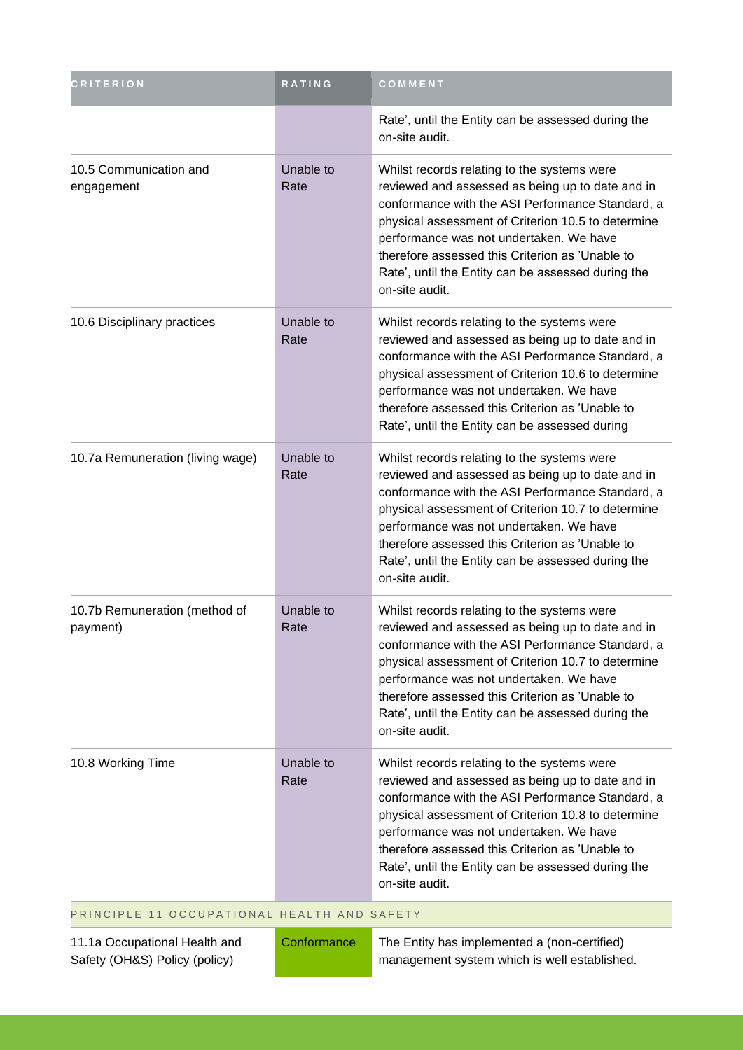| <b>CRITERION</b>                                               | <b>RATING</b>     | COMMENT                                                                                                                                                                                                                                                                                                                                                                         |
|----------------------------------------------------------------|-------------------|---------------------------------------------------------------------------------------------------------------------------------------------------------------------------------------------------------------------------------------------------------------------------------------------------------------------------------------------------------------------------------|
|                                                                |                   | Rate', until the Entity can be assessed during the<br>on-site audit.                                                                                                                                                                                                                                                                                                            |
| 10.5 Communication and<br>engagement                           | Unable to<br>Rate | Whilst records relating to the systems were<br>reviewed and assessed as being up to date and in<br>conformance with the ASI Performance Standard, a<br>physical assessment of Criterion 10.5 to determine<br>performance was not undertaken. We have<br>therefore assessed this Criterion as 'Unable to<br>Rate', until the Entity can be assessed during the<br>on-site audit. |
| 10.6 Disciplinary practices                                    | Unable to<br>Rate | Whilst records relating to the systems were<br>reviewed and assessed as being up to date and in<br>conformance with the ASI Performance Standard, a<br>physical assessment of Criterion 10.6 to determine<br>performance was not undertaken. We have<br>therefore assessed this Criterion as 'Unable to<br>Rate', until the Entity can be assessed during                       |
| 10.7a Remuneration (living wage)                               | Unable to<br>Rate | Whilst records relating to the systems were<br>reviewed and assessed as being up to date and in<br>conformance with the ASI Performance Standard, a<br>physical assessment of Criterion 10.7 to determine<br>performance was not undertaken. We have<br>therefore assessed this Criterion as 'Unable to<br>Rate', until the Entity can be assessed during the<br>on-site audit. |
| 10.7b Remuneration (method of<br>payment)                      | Unable to<br>Rate | Whilst records relating to the systems were<br>reviewed and assessed as being up to date and in<br>conformance with the ASI Performance Standard, a<br>physical assessment of Criterion 10.7 to determine<br>performance was not undertaken. We have<br>therefore assessed this Criterion as 'Unable to<br>Rate', until the Entity can be assessed during the<br>on-site audit. |
| 10.8 Working Time                                              | Unable to<br>Rate | Whilst records relating to the systems were<br>reviewed and assessed as being up to date and in<br>conformance with the ASI Performance Standard, a<br>physical assessment of Criterion 10.8 to determine<br>performance was not undertaken. We have<br>therefore assessed this Criterion as 'Unable to<br>Rate', until the Entity can be assessed during the<br>on-site audit. |
| PRINCIPLE 11 OCCUPATIONAL HEALTH AND SAFETY                    |                   |                                                                                                                                                                                                                                                                                                                                                                                 |
| 11.1a Occupational Health and<br>Safety (OH&S) Policy (policy) | Conformance       | The Entity has implemented a (non-certified)<br>management system which is well established.                                                                                                                                                                                                                                                                                    |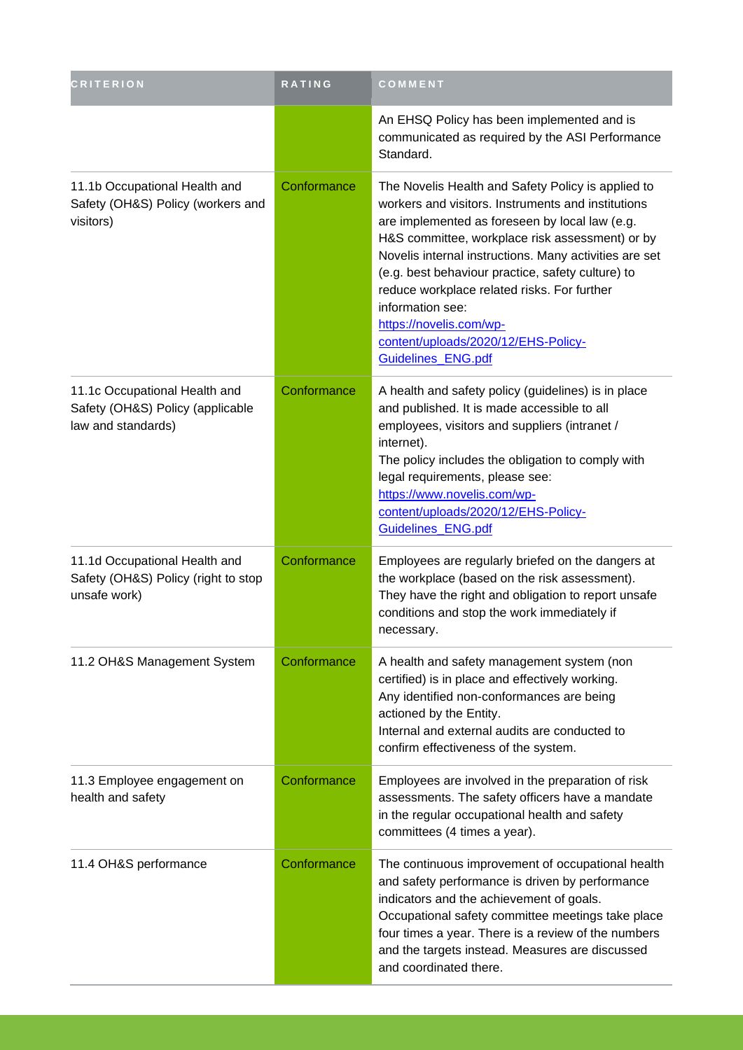| <b>CRITERION</b>                                                                        | RATING      | COMMENT                                                                                                                                                                                                                                                                                                                                                                                                                                                                                 |
|-----------------------------------------------------------------------------------------|-------------|-----------------------------------------------------------------------------------------------------------------------------------------------------------------------------------------------------------------------------------------------------------------------------------------------------------------------------------------------------------------------------------------------------------------------------------------------------------------------------------------|
|                                                                                         |             | An EHSQ Policy has been implemented and is<br>communicated as required by the ASI Performance<br>Standard.                                                                                                                                                                                                                                                                                                                                                                              |
| 11.1b Occupational Health and<br>Safety (OH&S) Policy (workers and<br>visitors)         | Conformance | The Novelis Health and Safety Policy is applied to<br>workers and visitors. Instruments and institutions<br>are implemented as foreseen by local law (e.g.<br>H&S committee, workplace risk assessment) or by<br>Novelis internal instructions. Many activities are set<br>(e.g. best behaviour practice, safety culture) to<br>reduce workplace related risks. For further<br>information see:<br>https://novelis.com/wp-<br>content/uploads/2020/12/EHS-Policy-<br>Guidelines_ENG.pdf |
| 11.1c Occupational Health and<br>Safety (OH&S) Policy (applicable<br>law and standards) | Conformance | A health and safety policy (guidelines) is in place<br>and published. It is made accessible to all<br>employees, visitors and suppliers (intranet /<br>internet).<br>The policy includes the obligation to comply with<br>legal requirements, please see:<br>https://www.novelis.com/wp-<br>content/uploads/2020/12/EHS-Policy-<br>Guidelines_ENG.pdf                                                                                                                                   |
| 11.1d Occupational Health and<br>Safety (OH&S) Policy (right to stop<br>unsafe work)    | Conformance | Employees are regularly briefed on the dangers at<br>the workplace (based on the risk assessment).<br>They have the right and obligation to report unsafe<br>conditions and stop the work immediately if<br>necessary.                                                                                                                                                                                                                                                                  |
| 11.2 OH&S Management System                                                             | Conformance | A health and safety management system (non<br>certified) is in place and effectively working.<br>Any identified non-conformances are being<br>actioned by the Entity.<br>Internal and external audits are conducted to<br>confirm effectiveness of the system.                                                                                                                                                                                                                          |
| 11.3 Employee engagement on<br>health and safety                                        | Conformance | Employees are involved in the preparation of risk<br>assessments. The safety officers have a mandate<br>in the regular occupational health and safety<br>committees (4 times a year).                                                                                                                                                                                                                                                                                                   |
| 11.4 OH&S performance                                                                   | Conformance | The continuous improvement of occupational health<br>and safety performance is driven by performance<br>indicators and the achievement of goals.<br>Occupational safety committee meetings take place<br>four times a year. There is a review of the numbers<br>and the targets instead. Measures are discussed<br>and coordinated there.                                                                                                                                               |